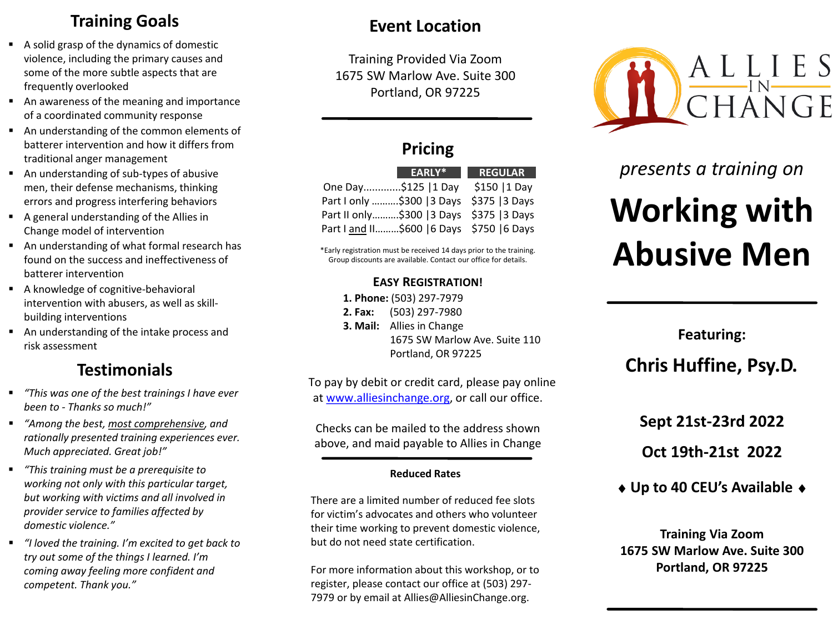# **Training Goals**

- A solid grasp of the dynamics of domestic violence, including the primary causes and some of the more subtle aspects that are frequently overlooked
- An awareness of the meaning and importance of a coordinated community response
- An understanding of the common elements of batterer intervention and how it differs from traditional anger management
- An understanding of sub-types of abusive men, their defense mechanisms, thinking errors and progress interfering behaviors
- A general understanding of the Allies in Change model of intervention
- An understanding of what formal research has found on the success and ineffectiveness of batterer intervention
- A knowledge of cognitive-behavioral intervention with abusers, as well as skillbuilding interventions
- An understanding of the intake process and risk assessment

# **Testimonials**

- *"This was one of the best trainings I have ever been to - Thanks so much!"*
- *"Among the best, most comprehensive, and rationally presented training experiences ever. Much appreciated. Great job!"*
- *"This training must be a prerequisite to working not only with this particular target, but working with victims and all involved in provider service to families affected by domestic violence."*
- *"I loved the training. I'm excited to get back to try out some of the things I learned. I'm coming away feeling more confident and competent. Thank you."*

# **Event Location**

Training Provided Via Zoom 1675 SW Marlow Ave. Suite 300 Portland, OR 97225

**Pricing**

One Day.............\$125 |1 Day \$150 |1 Day Part I only ..........\$300 | 3 Days \$375 | 3 Days Part II only……….\$300 |3 Days \$375 |3 Days Part I and II………\$600 |6 Days \$750 |6 Days

**EARLY\* REGULAR**



# *presents a training on*

# **Working with Abusive Men**

**Featuring: Chris Huffine, Psy.D.**

**Sept 21st-23rd 2022**

**Oct 19th-21st 2022**

♦ **Up to 40 CEU's Available** ♦

**Training Via Zoom 1675 SW Marlow Ave. Suite 300 Portland, OR 97225**

#### \*Early registration must be received 14 days prior to the training. Group discounts are available. Contact our office for details.

# **EASY REGISTRATION!**

**1. Phone:** (503) 297-7979

- **2. Fax:** (503) 297-7980
- **3. Mail:** Allies in Change 1675 SW Marlow Ave. Suite 110 Portland, OR 97225

To pay by debit or credit card, please pay online at [www.alliesinchange.org,](http://www.alliesinchange.org/) or call our office.

Checks can be mailed to the address shown above, and maid payable to Allies in Change

## **Reduced Rates**

There are a limited number of reduced fee slots for victim's advocates and others who volunteer their time working to prevent domestic violence, but do not need state certification.

For more information about this workshop, or to register, please contact our office at (503) 297- 7979 or by email at Allies@AlliesinChange.org.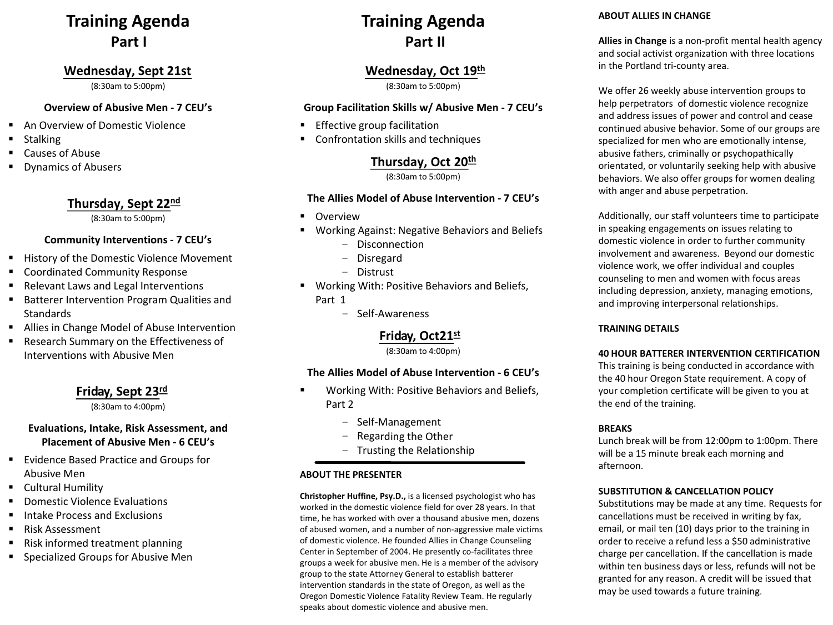# **Training Agenda Part I**

#### **Wednesday, Sept 21st**

(8:30am to 5:00pm)

#### **Overview of Abusive Men - 7 CEU's**

- An Overview of Domestic Violence
- **Stalking**
- Causes of Abuse
- Dynamics of Abusers

# **Thursday, Sept 22nd**

(8:30am to 5:00pm)

## **Community Interventions - 7 CEU's**

- History of the Domestic Violence Movement
- Coordinated Community Response
- Relevant Laws and Legal Interventions
- **Batterer Intervention Program Qualities and Standards**
- Allies in Change Model of Abuse Intervention
- **Research Summary on the Effectiveness of** Interventions with Abusive Men

## **Friday, Sept 23rd**

(8:30am to 4:00pm)

## **Evaluations, Intake, Risk Assessment, and Placement of Abusive Men - 6 CEU's**

- **Evidence Based Practice and Groups for** Abusive Men
- **E** Cultural Humility
- Domestic Violence Evaluations
- Intake Process and Exclusions
- Risk Assessment
- Risk informed treatment planning
- **Specialized Groups for Abusive Men**

# **Training Agenda Part II**

## **Wednesday, Oct 19th**

(8:30am to 5:00pm)

#### **Group Facilitation Skills w/ Abusive Men - 7 CEU's**

- **Effective group facilitation**
- Confrontation skills and techniques

# **Thursday, Oct 20th**

(8:30am to 5:00pm)

#### **The Allies Model of Abuse Intervention - 7 CEU's**

- **•** Overview
- Working Against: Negative Behaviors and Beliefs
	- Disconnection
	- Disregard
	- Distrust
- **Working With: Positive Behaviors and Beliefs,** Part 1
	- Self-Awareness

## **Friday, Oct21st**

(8:30am to 4:00pm)

#### **The Allies Model of Abuse Intervention - 6 CEU's**

- Working With: Positive Behaviors and Beliefs, Part 2
	- Self-Management
	- Regarding the Other
	- Trusting the Relationship

#### **ABOUT THE PRESENTER**

**Christopher Huffine, Psy.D.,** is a licensed psychologist who has worked in the domestic violence field for over 28 years. In that time, he has worked with over a thousand abusive men, dozens of abused women, and a number of non-aggressive male victims of domestic violence. He founded Allies in Change Counseling Center in September of 2004. He presently co-facilitates three groups a week for abusive men. He is a member of the advisory group to the state Attorney General to establish batterer intervention standards in the state of Oregon, as well as the Oregon Domestic Violence Fatality Review Team. He regularly speaks about domestic violence and abusive men.

#### **ABOUT ALLIES IN CHANGE**

**Allies in Change** is a non-profit mental health agency and social activist organization with three locations in the Portland tri-county area.

We offer 26 weekly abuse intervention groups to help perpetrators of domestic violence recognize and address issues of power and control and cease continued abusive behavior. Some of our groups are specialized for men who are emotionally intense, abusive fathers, criminally or psychopathically orientated, or voluntarily seeking help with abusive behaviors. We also offer groups for women dealing with anger and abuse perpetration.

Additionally, our staff volunteers time to participate in speaking engagements on issues relating to domestic violence in order to further community involvement and awareness. Beyond our domestic violence work, we offer individual and couples counseling to men and women with focus areas including depression, anxiety, managing emotions, and improving interpersonal relationships.

#### **TRAINING DETAILS**

#### **40 HOUR BATTERER INTERVENTION CERTIFICATION**

This training is being conducted in accordance with the 40 hour Oregon State requirement. A copy of your completion certificate will be given to you at the end of the training.

#### **BREAKS**

Lunch break will be from 12:00pm to 1:00pm. There will be a 15 minute break each morning and afternoon.

#### **SUBSTITUTION & CANCELLATION POLICY**

Substitutions may be made at any time. Requests for cancellations must be received in writing by fax, email, or mail ten (10) days prior to the training in order to receive a refund less a \$50 administrative charge per cancellation. If the cancellation is made within ten business days or less, refunds will not be granted for any reason. A credit will be issued that may be used towards a future training.